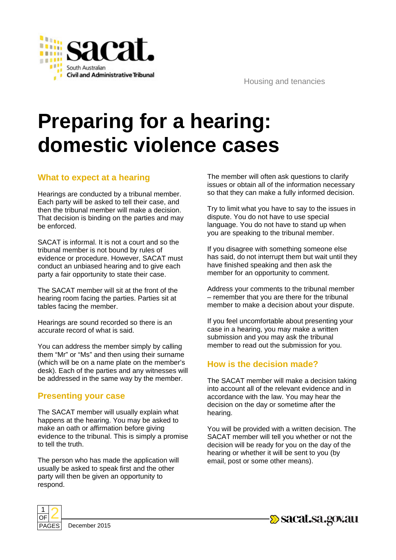

Housing and tenancies

# **Preparing for a hearing: domestic violence cases**

#### **What to expect at a hearing**

Hearings are conducted by a tribunal member. Each party will be asked to tell their case, and then the tribunal member will make a decision. That decision is binding on the parties and may be enforced.

SACAT is informal. It is not a court and so the tribunal member is not bound by rules of evidence or procedure. However, SACAT must conduct an unbiased hearing and to give each party a fair opportunity to state their case.

The SACAT member will sit at the front of the hearing room facing the parties. Parties sit at tables facing the member.

Hearings are sound recorded so there is an accurate record of what is said.

You can address the member simply by calling them "Mr" or "Ms" and then using their surname (which will be on a name plate on the member's desk). Each of the parties and any witnesses will be addressed in the same way by the member.

#### **Presenting your case**

The SACAT member will usually explain what happens at the hearing. You may be asked to make an oath or affirmation before giving evidence to the tribunal. This is simply a promise to tell the truth.

The person who has made the application will usually be asked to speak first and the other party will then be given an opportunity to respond.



Try to limit what you have to say to the issues in dispute. You do not have to use special language. You do not have to stand up when you are speaking to the tribunal member.

If you disagree with something someone else has said, do not interrupt them but wait until they have finished speaking and then ask the member for an opportunity to comment.

Address your comments to the tribunal member – remember that you are there for the tribunal member to make a decision about your dispute.

If you feel uncomfortable about presenting your case in a hearing, you may make a written submission and you may ask the tribunal member to read out the submission for you.

### **How is the decision made?**

The SACAT member will make a decision taking into account all of the relevant evidence and in accordance with the law. You may hear the decision on the day or sometime after the hearing.

You will be provided with a written decision. The SACAT member will tell you whether or not the decision will be ready for you on the day of the hearing or whether it will be sent to you (by email, post or some other means).